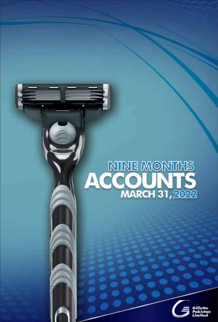# NINE MONTHS<br>ACCOUNTS

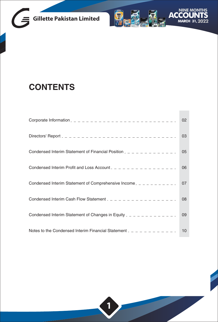



## **CONTENTS**

|                                                                              | 02 |
|------------------------------------------------------------------------------|----|
|                                                                              | 03 |
| Condensed Interim Statement of Financial Position $2 - 2 - 2 - 2 - 2 - 2$    | 05 |
| Condensed Interim Profit and Loss Account $2 - 2 - 2 - 2 - 2 - 2 - 2 - 2$    | 06 |
|                                                                              | 07 |
| Condensed Interim Cash Flow Statement $2 - 2 - 2 - 2 - 2 - 2 - 2 - 2$        | 08 |
| Condensed Interim Statement of Changes in Equity $2 - 2 - 2 - 2 - 2 - 2 - 2$ | 09 |
| Notes to the Condensed Interim Financial Statement $2 - 2 - 2 - 2 - 2 - 2$   | 10 |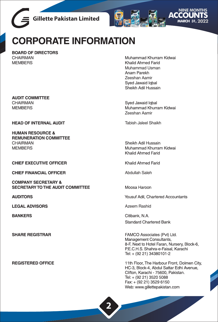



# CORPORATE INFORMATION

**BOARD OF DIRECTORS** CHAIRMAN **MEMBERS** 

**AUDIT COMMITTEE** CHAIRMAN **MEMBERS** 

**HEAD OF INTERNAL AUDIT** 

**HUMAN RESOURCE & REMUNERATION COMMITTEE** CHAIRMAN **MEMBERS** 

**CHIEF EXECUTIVE OFFICER** 

**CHIEF FINANCIAL OFFICER** 

**COMPANY SECRETARY & SECRETARY TO THE AUDIT COMMITTEE** 

**AUDITORS** 

**LEGAL ADVISORS** 

**BANKERS** 

**SHARE REGISTRAR** 

**REGISTERED OFFICE** 

Muhammad Khurram Kidwai Khalid Ahmed Farid Muhammad Usman Anam Parekh Zeeshan Aamir Sved Jawaid lobal Sheikh Adil Hussain

Sved Jawaid Igbal Muhammad Khurram Kidwai Zeeshan Aamir

Tabish Jaleel Shaikh

Sheikh Adil Hussain Muhammad Khurram Kidwai Khalid Ahmed Farid

Khalid Ahmed Farid

Ahdullah Saleh

Moosa Haroon

Yousuf Adil. Chartered Accountants

Azeem Rashid

Citibank, N.A. **Standard Chartered Bank** 

FAMCO Associates (Pvt) Ltd. Management Consultants, 8-F, Next to Hotel Faran, Nursery, Block-6, P.E.C.H.S. Shahra-e-Faisal, Karachi Tel: + (92 21) 34380101-2

11th Floor. The Harbour Front. Dolmen City. HC-3, Block-4, Abdul Sattar Edhi Avenue, Clifton, Karachi - 75600, Pakistan, Tel: + (92 21) 3520 5088 Fax: + (92 21) 3529 6150 Web: www.gillettepakistan.com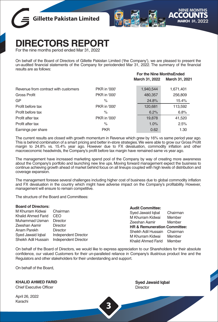



 **For the Nine MonthsEnded**

# **IRECTORS REPORT**

For the nine months period ended Mar 31, 2022

On behalf of the Board of Directors of Gillette Pakistan Limited ('the Company'), we are pleased to present the un-audited financial statements of the Company for periodended Mar 31, 2022. The summary of the financial results are as follows:

|                                      |              | March 31, 2022 | March 31, 2021 |
|--------------------------------------|--------------|----------------|----------------|
| Revenue from contract with customers | PKR in '000' | 1,940,544      | 1,671,401      |
| <b>Gross Profit</b>                  | PKR in '000' | 480,357        | 256,809        |
| GP                                   | $\%$         | 24.8%          | 15.4%          |
| Profit before tax                    | PKR in '000' | 120,681        | 113,592        |
| Profit before tax                    | $\%$         | 6.2%           | 6.8%           |
| Profit after tax                     | PKR in '000' | 19,878         | 41,520         |
| Profit after tax                     | $\%$         | 1.0%           | 2.5%           |
| Earnings per share                   | <b>PKR</b>   | 0.62           | 1.30           |

The current results are closed with growth momentum in Revenue which grew by 16% vs same period year ago. This is behind combination of a smart pricing and better in-store strategies. We were able to grow our Gross Profit margin to 24.8% vs. 15.4% year ago. However due to FX devaluation, commodity inflation and other macroeconomic headwinds, the Company's profit before tax margin have remained same vs year ago.

The management have increased marketing spend pool of the Company by way of creating more awareness about the Company's portfolio and launching new line ups. Moving forward management expect the business to continue achieving growth ahead of market behind focus on all lineups coupled with high levels of distribution and coverage expansion.

The management foresee several challenges including higher cost of business due to global commodity inflation and FX devaluation in the country which might have adverse impact on the Company's profitability. However, management will ensure to remain competitive.

The structure of the Board and Committees:

| <b>Board of Directors:</b>               |                                              | <b>Audit Committee:</b>                               |  |
|------------------------------------------|----------------------------------------------|-------------------------------------------------------|--|
| M Khurram Kidwai<br>Khalid Ahmed Farid   | Chairman<br>CEO.                             | Chairman<br>Syed Jawaid Igbal                         |  |
| Muhammad Usman                           | Director                                     | M Khurram Kidwai<br>Member<br>Member<br>Zeeshan Aamir |  |
| Zeeshan Aamir                            | Director                                     | <b>HR &amp; Remuneration Committee:</b>               |  |
| Anam Parekh                              | Director                                     | Sheikh Adil Hussain<br>Chairman                       |  |
| Syed Jawaid Igbal<br>Sheikh Adil Hussain | Independent Director<br>Independent Director | Member<br>M Khurram Kidwai                            |  |
|                                          |                                              | Khalid Ahmed Farid<br>Member                          |  |

On behalf of the Board of Directors, we would like to express appreciation to our Shareholders for their absolute confidence, our valued Customers for their un-paralleled reliance in Company's illustrious product line and the Regulators and other stakeholders for their understanding and support.

**3**

On behalf of the Board,

**KHALID AHMED FARID**

Chief Executive Officer

April 26, 2022 Karachi

**Syed Jawaid Iqbal Director**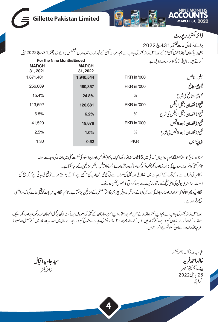| THS                                        |                                                                                                                                               |                          |                                  |
|--------------------------------------------|-----------------------------------------------------------------------------------------------------------------------------------------------|--------------------------|----------------------------------|
| ACC<br><b>MARCH 31, 2022</b>               |                                                                                                                                               |                          | <b>Gillette Pakistan Limited</b> |
| ڈائریکٹرز رپورٹ                            |                                                                                                                                               |                          |                                  |
| برائےنوماہ کی مدیختمہ31مارچ2022            |                                                                                                                                               |                          |                                  |
|                                            | جیلیٹ پاکستان لمیٹڈ("دی کمپنی")کے بورڈآف ڈائریکٹرز کی جانب سے ہم بمسر ت کمپنی کے غیرآ ڈٹ شدد مالیاتی سیمٹمٹس برائے لومادمختنہہ13مارچ 2022 پیش |                          |                                  |
| کرتے ہیں۔مالیاتی متائج کاخلاصہ درج ذیل ہے: |                                                                                                                                               |                          | <b>For the Nine MonthsEnded</b>  |
|                                            |                                                                                                                                               | <b>MARCH</b><br>31, 2022 | <b>MARCH</b><br>31, 2021         |
| سيلزيه خالص                                | <b>PKR</b> in '000                                                                                                                            | 1,940,544                | 1.671.401                        |
| مجموعى منافع                               | <b>PKR</b> in '000                                                                                                                            | 480,357                  | 256,809                          |
| مجموعى منفافع كى شرح                       | %                                                                                                                                             | 24.8%                    | 15.4%                            |
| نفع ( (نقصان )قبل ازنتیس                   | <b>PKR</b> in '000                                                                                                                            | 120,681                  | 113,592                          |
| نفع/(نقصان)قبل زئیکس کی شرح                | $\%$                                                                                                                                          | 6.2%                     | 6.8%                             |
| نفع((نقصان)بعداز <sup>قی</sup> س           | <b>PKR</b> in '000                                                                                                                            | 19,878                   | 41,520                           |
| نفع/(نقصان)بعدازڤیکس کی شرح                | $\%$                                                                                                                                          | 1.0%                     | 2.5%                             |
| ای پی لیں                                  | <b>PKR</b>                                                                                                                                    | 0.62                     | 1.30                             |

موجودہ نبائج کااختتام اچھےنمو پرہوا جہاںآ مدنی میں 16فیصداضافہ دیکھا گیا۔ پی<sup>ر</sup>ہترسکرمکس اوران اسٹور کی حکمت عملی میں اضافہ کی دجہ سے ہوا۔ تاہم کمپنی کوافراط زر،روپے کی ناقدری اوردیگر میکر واکنوکس مساکل در پیش ہوئے جس کااثر قبل از ٹیکس منافع پر دیکھاجاسکتا ہے۔ انظامیہ کی طرف سے مارکیٹنگ کےاخراجات میں اضافہ کی وجہ کمپنی کی طرف سے کی گئی نئی لائن اپ کی آگے کر جستے ہوئے تو قع کی جاتی ہے کہ کوریج کی وسعت اورڈسٹری بیوشن کی اعلیٰ سطح کےساتھ مار کیٹ سے بڑھ کرتر تی کاحصول ممکن ہوسکے۔ انتظامیہ کوبین الاقوامی افراط زراورز رمبادلہ کی قدر میں کی سکت کر کے منافع کر پر پر کے ساتھ انتظامیہاس بات کویقینی بنائے گی کہ مسابقطی سطح برقرارر ہے۔

بورڈ آف ڈائریکٹرز کی جانب سے ہم اپنے شیئر ہولڈرز کے ہم پربھر پوراعتاد، اپنے معز زصارفین کے میٹرک سے پروڈ کٹ این کے ملل اطمینان اورریگو ایٹرز اور دیگر اسٹیک ہولڈرز کےادراک اورتعاون کیلئے بےحدشم گزار میں۔اس کے ساتھ ہم بورڈ آف ڈائریکٹرکی مدایات ورہنمائی کیلئے اور نیورےسال میں انظامیہاورملاز مین نے مسلسل اور مفبوط عزم، بخت محنت اورتعاون کیلئے شکر بیاداکرتے ہیں۔

منجانب بورڈ آف ڈائریکٹرز خالداحمرفريد چف ایگزیکٹیوآفیسر 26اپریل2022 گراچی

سيدجاويدا قبال ڈائریکٹر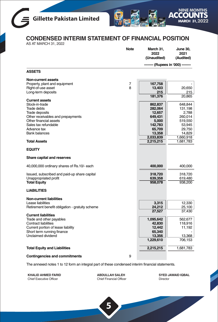



### **CONDENSED INTERIM STATEMENT OF FINANCIAL POSITION**

AS AT MARCH 31, 2022

|                                                 | <b>Note</b> | March 31,<br>2022<br>(Unaudited) | <b>June 30,</b><br>2021<br>(Audited) |
|-------------------------------------------------|-------------|----------------------------------|--------------------------------------|
|                                                 |             |                                  | -- (Rupees in '000) --               |
| <b>ASSETS</b>                                   |             |                                  |                                      |
| <b>Non-current assets</b>                       |             |                                  |                                      |
| Property, plant and equipment                   | 7<br>8      | 167,758                          |                                      |
| Right-of-use asset<br>Long-term deposits        |             | 13,403<br>215                    | 20,650<br>215                        |
|                                                 |             | 181,376                          | 20,865                               |
| <b>Current assets</b><br>Stock-in-trade         |             |                                  |                                      |
| <b>Trade debts</b>                              |             | 862,837<br>282,064               | 648,844<br>131,198                   |
| <b>Trade deposits</b>                           |             | 12,657                           | 2,788                                |
| Other receivables and prepayments               |             | 649,431                          | 260,014                              |
| Other financial assets                          |             | 5,000                            | 519,550                              |
| Sales tax refundable                            |             | 142,783                          | 53,945                               |
| Advance tax                                     |             | 65,709                           | 29,750                               |
| <b>Bank balances</b>                            |             | 13,358                           | 14,829                               |
|                                                 |             | 2,033,839                        | 1,660,918                            |
| <b>Total Assets</b>                             |             | 2,215,215                        | 1,681,783                            |
| <b>EQUITY</b>                                   |             |                                  |                                      |
| Share capital and reserves                      |             |                                  |                                      |
| 40,000,000 ordinary shares of Rs.10/- each      |             | 400,000                          | 400,000                              |
| Issued, subscribed and paid-up share capital    |             | 318,720                          | 318,720                              |
| Unappropriated profit                           |             | 639.358                          | 619,480                              |
| <b>Total Equity</b>                             |             | 958,078                          | 938,200                              |
| <b>LIABILITIES</b>                              |             |                                  |                                      |
| <b>Non-current liabilities</b>                  |             |                                  |                                      |
| Lease liabilities                               |             | 3,315                            | 12,330                               |
| Retirement benefit obligation - gratuity scheme |             | 24,212                           | 25,100                               |
| <b>Current liabilities</b>                      |             | 27,527                           | 37,430                               |
| Trade and other payables                        |             | 1,095,642                        | 562,677                              |
| <b>Contract liabilities</b>                     |             | 42,830                           | 118,916                              |
| Current portion of lease liability              |             | 12,442                           | 11,192                               |
| Short term running finance                      |             | 65,340                           |                                      |
| Unclaimed dividend                              |             | 13,356                           | 13,368                               |
|                                                 |             | 1,229,610                        | 706,153                              |
| <b>Total Equity and Liabilities</b>             |             | 2,215,215                        | 1,681,783                            |
|                                                 | 9           |                                  |                                      |
| <b>Contingencies and commitments</b>            |             |                                  |                                      |

The annexed notes 1 to 12 form an integral part of these condensed interim financial statements.

**KHALID AHMED FARID** Chief Executive Officer

**ABDULLAH SALEH** Chief Financial Officer

**5**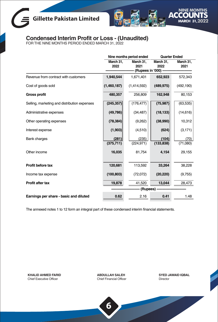## **Gillette Pakistan Limited**



## **Condensed Interim Profit or Loss - (Unaudited)** FOR THE NINE MONTHS PERIOD ENDED MARCH 31, 2022

|                                              |                   | Nine months period ended |                   | <b>Quarter Ended</b> |  |
|----------------------------------------------|-------------------|--------------------------|-------------------|----------------------|--|
|                                              | March 31,<br>2022 | March 31,<br>2021        | March 31,<br>2022 | March 31,<br>2021    |  |
|                                              |                   | (Rupees in '000) -       |                   |                      |  |
| Revenue from contract with customers         | 1,940,544         | 1,671,401                | 652,923           | 572,343              |  |
| Cost of goods sold                           | (1,460,187)       | (1,414,592)              | (489, 975)        | (492, 190)           |  |
| <b>Gross profit</b>                          | 480,357           | 256,809                  | 162,948           | 80,153               |  |
| Selling, marketing and distribution expenses | (245, 357)        | (176, 477)               | (75, 987)         | (63, 535)            |  |
| Administrative expenses                      | (49, 786)         | (34, 487)                | (18, 133)         | (14, 616)            |  |
| Other operating expenses                     | (78, 384)         | (9,262)                  | (38,990)          | 10,312               |  |
| Interest expense                             | (1,903)           | (4, 510)                 | (624)             | (3, 171)             |  |
| <b>Bank charges</b>                          | (281)             | (235)                    | (104)             | (70)                 |  |
|                                              | (375, 711)        | (224, 971)               | (133, 838)        | (71,080)             |  |
| Other income                                 | 16,035            | 81,754                   | 4,154             | 29,155               |  |
| Profit before tax                            | 120,681           | 113,592                  | 33,264            | 38,228               |  |
|                                              |                   |                          |                   |                      |  |
| Income tax expense                           | (100, 803)        | (72,072)                 | (20, 220)         | (9,755)              |  |
| <b>Profit after tax</b>                      | 19,878            | 41.520                   | 13,044            | 28,473               |  |
|                                              |                   | (Rupees) -               |                   |                      |  |
| Earnings per share - basic and diluted       | 0.62              | 2.16                     | 0.41              | 1.48                 |  |

The annexed notes 1 to 12 form an integral part of these condensed interim financial statements.

**KHALID AHMED FARID** Chief Executive Officer

**ABDULLAH SALEH** Chief Financial Officer **SYED JAWAID IQBAL** Director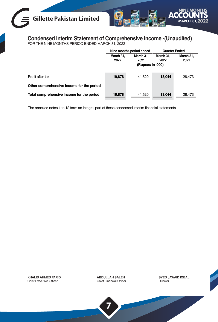## **Gillette Pakistan Limited**



## **Condensed Interim Statement of Comprehensive Income -(Unaudited)** FOR THE NINE MONTHS PERIOD ENDED MARCH 31, 2022

|                                           | Nine months period ended |                   | <b>Quarter Ended</b> |        |
|-------------------------------------------|--------------------------|-------------------|----------------------|--------|
| March 31.<br>2022                         |                          | March 31.<br>2021 | March 31.<br>2022    |        |
| Profit after tax                          | 19,878                   | 41,520            | 13.044               | 28.473 |
| Other comprehensive income for the period | -                        |                   |                      |        |
| Total comprehensive income for the period | 19,878                   | 41,520            | 13.044               | 28,473 |

The annexed notes 1 to 12 form an integral part of these condensed interim financial statements.

**KHALID AHMED FARID** Chief Executive Officer

**ABDULLAH SALEH** Chief Financial Officer

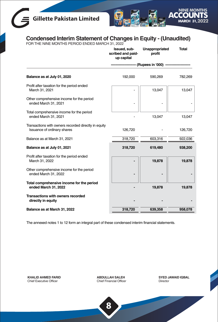## **Gillette Pakistan Limited**



## **Condensed Interim Statement of Changes in Equity - (Unaudited)** FOR THE NINE MONTHS PERIOD ENDED MARCH 31, 2022

| Issued, sub-<br>scribed and paid-<br>up capital | Unappropriated<br>profit | <b>Total</b>       |
|-------------------------------------------------|--------------------------|--------------------|
|                                                 |                          |                    |
| 192,000                                         | 590,269                  | 782,269            |
|                                                 | 13,047                   | 13,047             |
|                                                 |                          |                    |
|                                                 | 13,047                   | 13,047             |
| 126,720                                         |                          | 126,720            |
| 318,720                                         | 603,316                  | 922,036            |
| 318,720                                         | 619,480                  | 938,200            |
|                                                 | 19,878                   | 19,878             |
|                                                 |                          |                    |
|                                                 | 19,878                   | 19,878             |
|                                                 |                          |                    |
| 318,720                                         | 639,358                  | 958,078            |
|                                                 |                          | (Rupees in '000) - |

The annexed notes 1 to 12 form an integral part of these condensed interim financial statements.

**KHALID AHMED FARID** Chief Executive Officer

**ABDULLAH SALEH** Chief Financial Officer **SYED JAWAID IQBAL** Director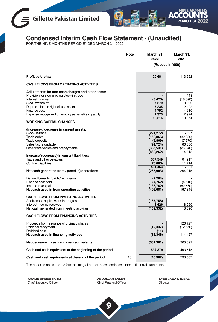



# **Condensed Interim Cash Flow Statement - (Unaudited)** FOR THE NINE MONTHS PERIOD ENDED MARCH 31, 2022

|                                                                                                                                                                                                                                                                                     | <b>Note</b> | March 31,<br>2022                                             | March 31,<br>2021                                              |
|-------------------------------------------------------------------------------------------------------------------------------------------------------------------------------------------------------------------------------------------------------------------------------------|-------------|---------------------------------------------------------------|----------------------------------------------------------------|
|                                                                                                                                                                                                                                                                                     |             |                                                               | (Rupees in '000) -                                             |
| Profit before tax                                                                                                                                                                                                                                                                   |             | 120,681                                                       | 113,592                                                        |
| <b>CASH FLOWS FROM OPERATING ACTIVITIES</b>                                                                                                                                                                                                                                         |             |                                                               |                                                                |
| Adjustments for non-cash charges and other items:<br>Provision for slow moving stock-in-trade<br>Interest income<br>Stock written off<br>Depreciation on right-of-use asset<br>Finance cost<br>Expense recognized on employee benefits - gratuity<br><b>WORKING CAPITAL CHANGES</b> |             | (8, 426)<br>7,279<br>7,235<br>4,752<br>1,375<br>12,215        | 148<br>(18,090)<br>8,390<br>12,192<br>4,510<br>2,924<br>10,074 |
| (Increase) / decrease in current assets:<br>Stock-in-trade<br>Trade debts<br>Trade deposits<br>Sales tax refundable<br>Other receivables and prepayments                                                                                                                            |             | (221,272)<br>(150, 866)<br>(9,869)<br>(91, 724)<br>(386, 531) | 16.697<br>(32, 399)<br>(7,670)<br>66,330<br>(28, 340)          |
| Increase/ (decrease) in current liabilities:<br>Trade and other payables<br><b>Contract liabilities</b>                                                                                                                                                                             |             | (860, 262)<br>537,549<br>(76,086)<br>461,463                  | 14,618<br>104,917<br>11.714<br>116,631                         |
| Net cash generated from / (used in) operations<br>Defined benefits (paid) / withdrawal<br>Finance cost paid<br>Income taxes paid<br>Net cash used in from operating activities                                                                                                      |             | (265, 903)<br>(2,264)<br>(4,752)<br>(136, 762)<br>(409, 681)  | 254,915<br>(4,510)<br>(82, 560)<br>167,845                     |
| <b>CASH FLOWS FROM INVESTING ACTIVITIES</b><br>Additions to capital work-in-progress<br>Interest income received<br>Net cash generated from investing activities                                                                                                                    |             | (167, 758)<br>8.426<br>(159, 332)                             | 18,090<br>18,090                                               |
| <b>CASH FLOWS FROM FINANCING ACTIVITIES</b>                                                                                                                                                                                                                                         |             |                                                               |                                                                |
| Proceeds from issuance of ordinary shares<br>Principal repayment<br>Dividend paid                                                                                                                                                                                                   |             | (12, 337)<br>(11)                                             | 126,727<br>(12,570)                                            |
| Net cash used in financing activities                                                                                                                                                                                                                                               |             | (12, 348)                                                     | 114,157                                                        |
| Net decrease in cash and cash equivalents                                                                                                                                                                                                                                           |             | (581, 361)                                                    | 300,092                                                        |
| Cash and cash equivalent at the beginning of the period                                                                                                                                                                                                                             |             | 534,379                                                       | 493,515                                                        |
| Cash and cash equivalents at the end of the period                                                                                                                                                                                                                                  | 10          | (46, 982)                                                     | 793,607                                                        |

The annexed notes 1 to 12 form an integral part of these condensed interim financial statements.

**KHALID AHMED FARID** Chief Executive Officer

**ABDULLAH SALEH** Chief Financial Officer

**9**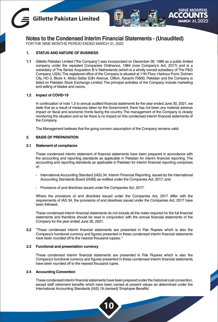



**Notes to the Condensed Interim Financial Statements - (Unaudited)**

FOR THE NINE MONTHS PERIOD ENDED MARCH 31, 2022

#### **1. STATUS AND NATURE OF BUSINESS**

**1.1** Gillette Pakistan Limited ("the Company") was incorporated on December 09, 1986 as a public limited company under the repealed Companies Ordinance, 1984 (now Company's Act, 2017) and is a subsidiary of The Series Acquisition B.V. Netherlands (which is a wholly owned subsidiary of The P&G Company, USA).The registered office of the Company is situated at 11th Floor, Harbour Front, Dolmen City, HC-3, Block 4, Abdul Sattar Edhi Avenue, Clifton, Karachi-75600, Pakistan and the Company is listed on Pakistan Stock Exchange Limited. The principal activities of the Company include marketing and selling of blades and razors.

#### **1.2 Impact of COVID-19**

In continuation of note 1.2 to annual audited financial statements for the year ended June 30, 2021, we state that as a result of measures taken by the Government, there has not been any material adverse impact on fiscal and economic fronts facing the country. The management of the Company is closely monitoring the situation and so far there is no impact on this condensed interim financial statements of the Company.

The Management believes that the going concern assumption of the Company remains valid.

#### **2. BASIS OF PREPARATION**

#### **2.1 Statement of compliance**

These condensed interim statement of financial statements have been prepared in accordance with the accounting and reporting standards as applicable in Pakistan for interim financial reporting. The accounting and reporting standards as applicable in Pakistan for interim financial reporting comprises of:

- International Accounting Standard (IAS) 34, Interim Financial Reporting, issued by the International Accounting Standards Board (IASB) as notified under the Companies Act, 2017; and
- Provisions of and directives issued under the Companies Act, 2017.

Where the provisions of and directives issued under the Companies Act, 2017 differ with the requirements of IAS 34, the provisions of and directives issued under the Companies Act, 2017 have been followed.

These condensed interim financial statements do not include all the notes required for the full financial statements and therefore should be read in conjunction with the annual financial statements of the Company for the year ended June 30, 2021.

**2.2** "These condensed interim financial statements are presented in Pak Rupees which is also the Company's functional currency and figures presented in these condensed interim financial statements have been rounded off to the nearest thousand rupees. "

#### **2.3 Functional and presentation currency**

These condensed interim financial statements are presented in Pak Rupees which is also the Company's functional currency and figures presented in these condensed interim financial statements have been rounded off to the nearest thousand rupee.

#### **2.4 Accounting Convention**

These condensed interim financial statements have been prepared under the historical cost convention, except staff retirement benefits which have been carried at present values as determined under the International Accounting Standards (IAS) 19 (revised) 'Employee Benefits' .

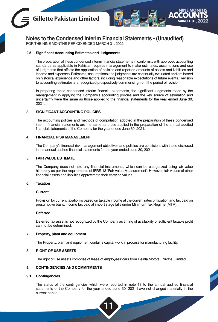



**Notes to the Condensed Interim Financial Statements - (Unaudited)**

FOR THE NINE MONTHS PERIOD ENDED MARCH 31, 2022

#### **2.5 Significant Accounting Estimates and Judgements**

The preparation of these condensed interim financial statements in conformity with approved accounting standards as applicable in Pakistan requires management to make estimates, assumptions and use of judgments that affects the application of policies and reported amounts of assets and liabilities and income and expenses. Estimates, assumptions and judgments are continually evaluated and are based on historical experience and other factors, including reasonable expectations of future events. Revision to accounting estimates are recognized prospectively commencing from the period of revision.

In preparing these condensed interim financial statements, the significant judgments made by the management in applying the Company's accounting policies and the key source of estimation and uncertainty were the same as those applied to the financial statements for the year ended June 30, 2021.

#### **3. SIGNIFICANT ACCOUNTING POLICIES**

The accounting policies and methods of computation adopted in the preparation of these condensed interim financial statements are the same as those applied in the preparation of the annual audited financial statements of the Company for the year ended June 30, 2021.

#### **4. FINANCIAL RISK MANAGEMENT**

The Company's financial risk management objectives and policies are consistent with those disclosed in the annual audited financial statements for the year ended June 30, 2021.

#### **5. FAIR VALUE ESTIMATE**

The Company does not hold any financial instruments, which can be categorized using fair value hierarchy as per the requirements of IFRS 13 "Fair Value Measurement". However, fair values of other financial assets and liabilities approximate their carrying values.

#### **6. Taxation**

#### **Current**

Provision for current taxation is based on taxable income at the current rates of taxation and tax paid on presumptive basis. Income tax paid at import stage falls under Minimum Tax Regime (MTR).

#### **Deferred**

Deferred tax asset is not recognized by the Company as timing of availability of sufficient taxable profit can not be determined.

#### **7. Property, plant and equipment**

The Property, plant and equipment contains capital work in process for manufacturing facility.

#### **8. RIGHT OF USE ASSETS**

The right of use assets comprise of lease of employees' cars from Deinfa Motors (Private) Limited.

#### **9. CONTINGENCIES AND COMMITMENTS**

#### **9.1 Contingencies**

The status of the contingencies which were reported in note 18 to the annual audited financial statements of the Company for the year ended June 30, 2021 have not changed materially in the current period.

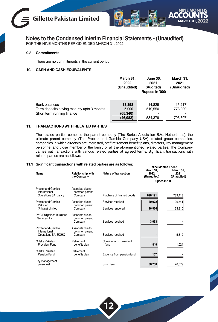



**Notes to the Condensed Interim Financial Statements - (Unaudited)**

FOR THE NINE MONTHS PERIOD ENDED MARCH 31, 2022

#### **9.2 Commitments**

There are no commitments in the current period.

#### **10. CASH AND CASH EQUIVALENTS**

|                                             | March 31.<br>2022<br>(Unaudited) | June 30.<br>2021<br>(Audited) | March 31.<br>2021<br>(Unaudited) |
|---------------------------------------------|----------------------------------|-------------------------------|----------------------------------|
|                                             |                                  | ----- Rupees in '000 ------   |                                  |
| <b>Bank balances</b>                        | 13.358                           | 14.829                        | 15.217                           |
| Term deposits having maturity upto 3 months | 5.000                            | 519.550                       | 778.390                          |
| Short term running finance                  | (65, 340)                        |                               |                                  |
|                                             | (46,982)                         | 534.379                       | 793.607                          |
|                                             |                                  |                               |                                  |

#### **11. TRANSACTIONS WITH RELATED PARTIES**

The related parties comprise the parent company (The Series Acquisition B.V., Netherlands), the ultimate parent company (The Procter and Gamble Company USA), related group companies, companies in which directors are interested, staff retirement benefit plans, directors, key management personnel and close member of the family of all the aforementioned related parties. The Company carries out transactions with various related parties at agreed terms. Significant transactions with related parties are as follows:

#### **11.1 Significant transactions with related parties are as follows: Nine Months Ended**

| Name                                                       | <b>Relationship with</b><br>the Company      | Nature of transaction             | March 31,<br>2022<br>(Unaudited) | March 31,<br>2021<br>(Unaudited) |
|------------------------------------------------------------|----------------------------------------------|-----------------------------------|----------------------------------|----------------------------------|
|                                                            |                                              |                                   | ----- Rupees in '000 ------      |                                  |
| Procter and Gamble<br>International                        | Associate due to<br>common parent            |                                   |                                  |                                  |
| Operations SA, Lancy                                       | Company                                      | Purchase of finished goods        | 898,191                          | 789,413                          |
| Procter and Gamble                                         | Associate due to                             | Services received                 | 40,072                           | 26,541                           |
| Pakistan<br>(Private) Limited                              | common parent<br>Company                     | Services rendered                 | 26,926                           | 33,310                           |
| <b>P&amp;G Philippines Business</b><br>Services. Inc.      | Associate due to<br>common parent<br>Company | Services received                 | 3,933                            |                                  |
| Procter and Gamble<br>International<br>Operations SA, ROHQ | Associate due to<br>common parent<br>Company | Services received                 |                                  | 5,819                            |
| Gillette Pakistan<br>Provident Fund                        | Retirement<br>benefits plan                  | Contribution to provident<br>fund | 1,849                            | 1,024                            |
| Gillette Pakistan<br>Pension Fund                          | Retirement<br>benefits plan                  | Expense from pension fund         | 107                              |                                  |
| Key management<br>personnel                                |                                              | Short term                        | 36,758                           | 26,579                           |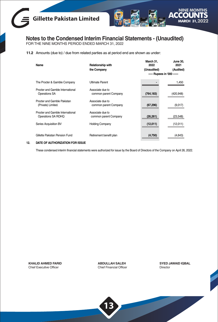



**Notes to the Condensed Interim Financial Statements - (Unaudited)** FOR THE NINE MONTHS PERIOD ENDED MARCH 31, 2022

**11.2** Amounts (due to) / due from related parties as at period end are shown as under:

| Name                                                     | Relationship with                         | March 31.<br>2022           | June 30,<br>2021 |
|----------------------------------------------------------|-------------------------------------------|-----------------------------|------------------|
|                                                          | the Company                               | (Unaudited)                 | (Audited)        |
|                                                          |                                           | ----- Rupees in '000 ------ |                  |
| The Procter & Gamble Company                             | <b>Ultimate Parent</b>                    |                             | 1,450            |
| Procter and Gamble International<br><b>Operations SA</b> | Associate due to<br>common parent Company | (764, 183)                  | (420,948)        |
| Procter and Gamble Pakistan<br>(Private) Limited.        | Associate due to<br>common parent Company | (67, 296)                   | (9,017)          |
| Procter and Gamble International<br>Operations SA ROHQ   | Associate due to<br>common parent Company | (26, 261)                   | (23, 548)        |
| Series Acquisition BV                                    | <b>Holding Company</b>                    | (12,011)                    | (12,011)         |
| Gillette Pakistan Pension Fund                           | Retirement benefit plan                   | (4,750)                     | (4,643)          |

#### **12. DATE OF AUTHORIZATION FOR ISSUE**

These condensed interim financial statements were authorized for issue by the Board of Directors of the Company on April 26, 2022.

**KHALID AHMED FARID** Chief Executive Officer

**ABDULLAH SALEH** Chief Financial Officer